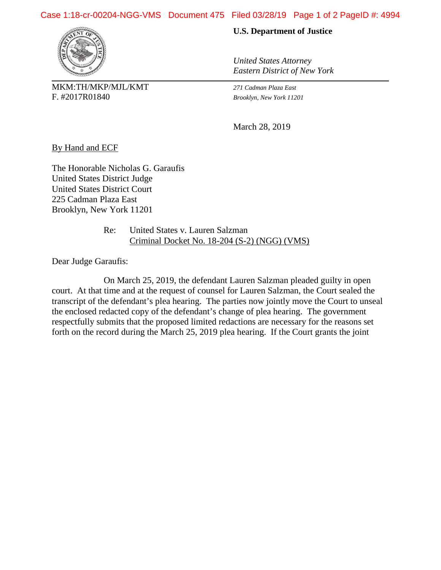## Case 1:18-cr-00204-NGG-VMS Document 475 Filed 03/28/19 Page 1 of 2 PageID #: 4994



MKM:TH/MKP/MJL/KMT *271 Cadman Plaza East* F. #2017R01840 *Brooklyn, New York 11201*

## **U.S. Department of Justice**

*United States Attorney Eastern District of New York*

March 28, 2019

By Hand and ECF

The Honorable Nicholas G. Garaufis United States District Judge United States District Court 225 Cadman Plaza East Brooklyn, New York 11201

> Re: United States v. Lauren Salzman Criminal Docket No. 18-204 (S-2) (NGG) (VMS)

Dear Judge Garaufis:

On March 25, 2019, the defendant Lauren Salzman pleaded guilty in open court. At that time and at the request of counsel for Lauren Salzman, the Court sealed the transcript of the defendant's plea hearing. The parties now jointly move the Court to unseal the enclosed redacted copy of the defendant's change of plea hearing. The government respectfully submits that the proposed limited redactions are necessary for the reasons set forth on the record during the March 25, 2019 plea hearing. If the Court grants the joint